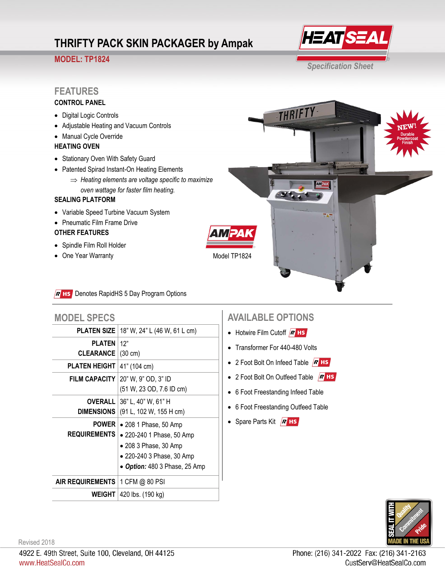# **THRIFTY PACK SKIN PACKAGER by Ampak**

## **MODEL: TP1824**



THRIFTY

# **FEATURES**

### **CONTROL PANEL**

- Digital Logic Controls
- Adjustable Heating and Vacuum Controls
- Manual Cycle Override

#### **HEATING OVEN**

- Stationary Oven With Safety Guard
- Patented Spirad Instant-On Heating Elements
	- *Heating elements are voltage specific to maximize oven wattage for faster film heating.*

#### **SEALING PLATFORM**

- Variable Speed Turbine Vacuum System
- Pneumatic Film Frame Drive

#### **OTHER FEATURES**

- Spindle Film Roll Holder
- One Year Warranty

Model TP1824

#### R HS Denotes RapidHS 5 Day Program Options

| <b>MODEL SPECS</b>                |                                          |
|-----------------------------------|------------------------------------------|
| <b>PLATEN SIZE</b>                | 18" W, 24" L (46 W, 61 L cm)             |
| <b>PLATEN</b>                     | 12"                                      |
| <b>CLEARANCE</b>                  | $(30 \text{ cm})$                        |
| <b>PLATEN HEIGHT</b>              | 41" (104 cm)                             |
|                                   | FILM CAPACITY $ 20"$ W, $9"$ OD, $3"$ ID |
|                                   | (51 W, 23 OD, 7.6 ID cm)                 |
|                                   | <b>OVERALL</b> 36" L, 40" W, 61" H       |
| <b>DIMENSIONS</b>                 | (91 L, 102 W, 155 H cm)                  |
| <b>POWER</b>                      | $\bullet$ 208 1 Phase, 50 Amp            |
| <b>REQUIREMENTS</b>               | • 220-240 1 Phase, 50 Amp                |
|                                   | • 208 3 Phase, 30 Amp                    |
|                                   | • 220-240 3 Phase, 30 Amp                |
|                                   | • Option: 480 3 Phase, 25 Amp            |
| AIR REQUIREMENTS   1 CFM @ 80 PSI |                                          |
|                                   | <b>WEIGHT</b>   420 lbs. (190 kg)        |

## **AVAILABLE OPTIONS**

- $\bullet$  Hotwire Film Cutoff  $R$  HS
- Transformer For 440-480 Volts
- 2 Foot Bolt On Infeed Table  $/R$  HS
- 2 Foot Bolt On Outfeed Table  $R$  HS
- 6 Foot Freestanding Infeed Table
- 6 Foot Freestanding Outfeed Table
- Spare Parts Kit  $R$  HS